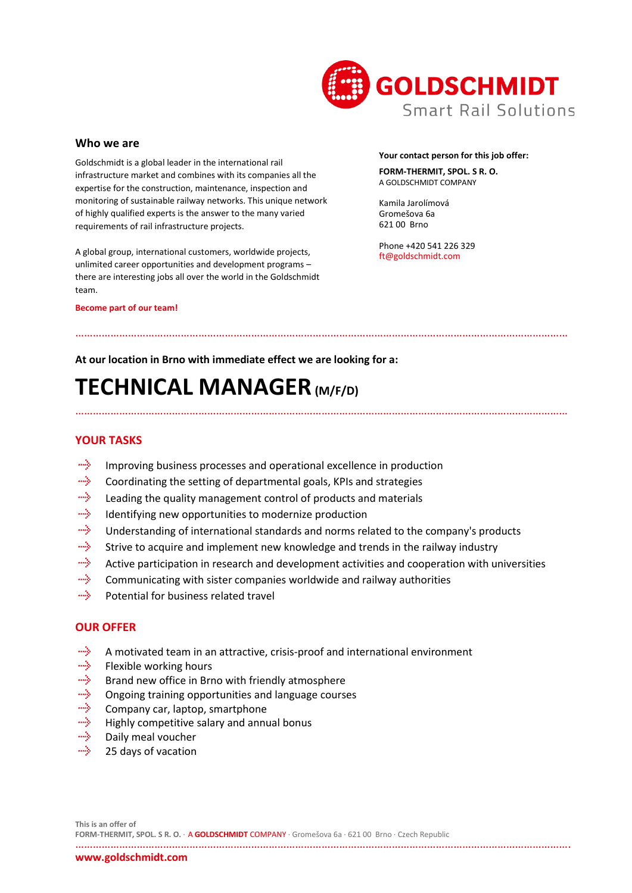

### **Who we are**

Goldschmidt is a global leader in the international rail infrastructure market and combines with its companies all the expertise for the construction, maintenance, inspection and monitoring of sustainable railway networks. This unique network of highly qualified experts is the answer to the many varied requirements of rail infrastructure projects.

A global group, international customers, worldwide projects, unlimited career opportunities and development programs – there are interesting jobs all over the world in the Goldschmidt team.

#### **Become part of our team!**

### **Your contact person for this job offer:**

**FORM-THERMIT, SPOL. S R. O.** A GOLDSCHMIDT COMPANY

Kamila Jarolímová Gromešova 6a 621 00 Brno

Phone +420 541 226 329 ft@goldschmidt.com

### **At our location in Brno with immediate effect we are looking for a:**

# **TECHNICAL MANAGER(M/F/D)**

## **YOUR TASKS**

- aliya. Improving business processes and operational excellence in production
- ing. Coordinating the setting of departmental goals, KPIs and strategies
- aliyo Leading the quality management control of products and materials
- alija. Identifying new opportunities to modernize production
- aliyo Understanding of international standards and norms related to the company's products
- alija. Strive to acquire and implement new knowledge and trends in the railway industry
- alija. Active participation in research and development activities and cooperation with universities

……………………………………………………………………………………………………………………………………………………

……………………………………………………………………………………………………………………………………………………

- ulija. Communicating with sister companies worldwide and railway authorities
- alija. Potential for business related travel

### **OUR OFFER**

- mily. A motivated team in an attractive, crisis-proof and international environment
- miyo. Flexible working hours
- alija. Brand new office in Brno with friendly atmosphere
- alije. Ongoing training opportunities and language courses
- miyo Company car, laptop, smartphone
- alija. Highly competitive salary and annual bonus
- aliya Daily meal voucher
- mily. 25 days of vacation

…………………………………………………………………………………………………………………………………………………….